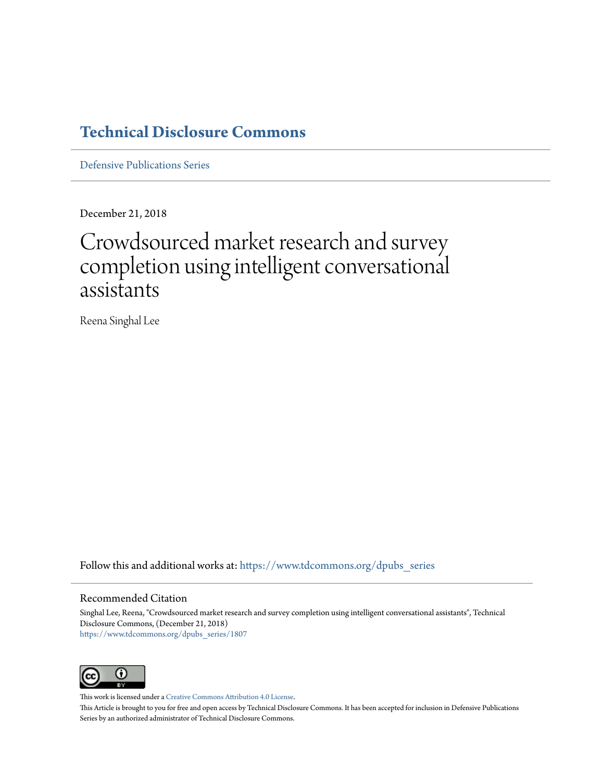## **[Technical Disclosure Commons](https://www.tdcommons.org?utm_source=www.tdcommons.org%2Fdpubs_series%2F1807&utm_medium=PDF&utm_campaign=PDFCoverPages)**

[Defensive Publications Series](https://www.tdcommons.org/dpubs_series?utm_source=www.tdcommons.org%2Fdpubs_series%2F1807&utm_medium=PDF&utm_campaign=PDFCoverPages)

December 21, 2018

# Crowdsourced market research and survey completion using intelligent conversational assistants

Reena Singhal Lee

Follow this and additional works at: [https://www.tdcommons.org/dpubs\\_series](https://www.tdcommons.org/dpubs_series?utm_source=www.tdcommons.org%2Fdpubs_series%2F1807&utm_medium=PDF&utm_campaign=PDFCoverPages)

#### Recommended Citation

Singhal Lee, Reena, "Crowdsourced market research and survey completion using intelligent conversational assistants", Technical Disclosure Commons, (December 21, 2018) [https://www.tdcommons.org/dpubs\\_series/1807](https://www.tdcommons.org/dpubs_series/1807?utm_source=www.tdcommons.org%2Fdpubs_series%2F1807&utm_medium=PDF&utm_campaign=PDFCoverPages)



This work is licensed under a [Creative Commons Attribution 4.0 License.](http://creativecommons.org/licenses/by/4.0/deed.en_US)

This Article is brought to you for free and open access by Technical Disclosure Commons. It has been accepted for inclusion in Defensive Publications Series by an authorized administrator of Technical Disclosure Commons.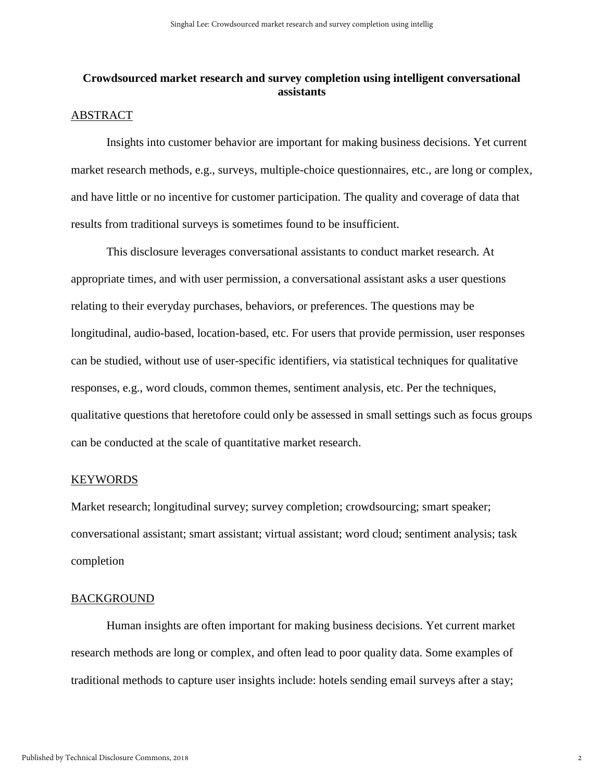### **Crowdsourced market research and survey completion using intelligent conversational assistants**

#### ABSTRACT

Insights into customer behavior are important for making business decisions. Yet current market research methods, e.g., surveys, multiple-choice questionnaires, etc., are long or complex, and have little or no incentive for customer participation. The quality and coverage of data that results from traditional surveys is sometimes found to be insufficient.

This disclosure leverages conversational assistants to conduct market research. At appropriate times, and with user permission, a conversational assistant asks a user questions relating to their everyday purchases, behaviors, or preferences. The questions may be longitudinal, audio-based, location-based, etc. For users that provide permission, user responses can be studied, without use of user-specific identifiers, via statistical techniques for qualitative responses, e.g., word clouds, common themes, sentiment analysis, etc. Per the techniques, qualitative questions that heretofore could only be assessed in small settings such as focus groups can be conducted at the scale of quantitative market research.

#### KEYWORDS

Market research; longitudinal survey; survey completion; crowdsourcing; smart speaker; conversational assistant; smart assistant; virtual assistant; word cloud; sentiment analysis; task completion

#### BACKGROUND

Human insights are often important for making business decisions. Yet current market research methods are long or complex, and often lead to poor quality data. Some examples of traditional methods to capture user insights include: hotels sending email surveys after a stay;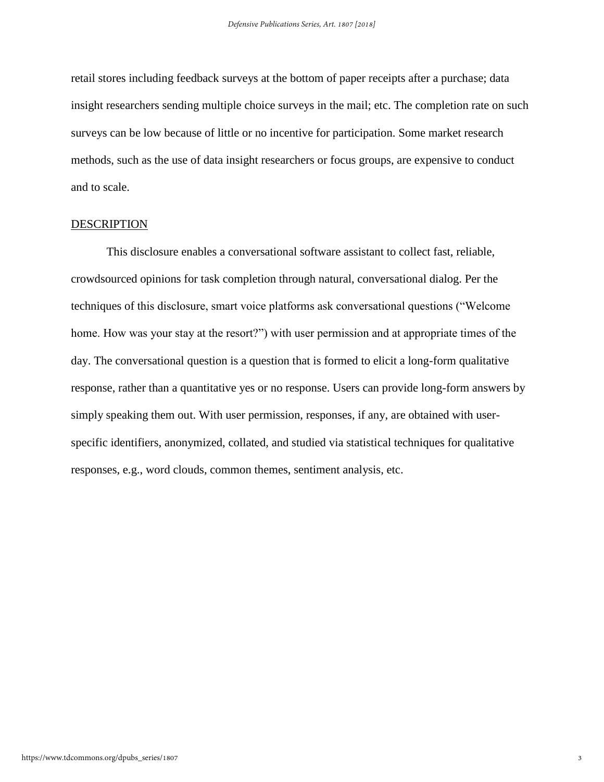retail stores including feedback surveys at the bottom of paper receipts after a purchase; data insight researchers sending multiple choice surveys in the mail; etc. The completion rate on such surveys can be low because of little or no incentive for participation. Some market research methods, such as the use of data insight researchers or focus groups, are expensive to conduct and to scale.

#### DESCRIPTION

This disclosure enables a conversational software assistant to collect fast, reliable, crowdsourced opinions for task completion through natural, conversational dialog. Per the techniques of this disclosure, smart voice platforms ask conversational questions ("Welcome home. How was your stay at the resort?") with user permission and at appropriate times of the day. The conversational question is a question that is formed to elicit a long-form qualitative response, rather than a quantitative yes or no response. Users can provide long-form answers by simply speaking them out. With user permission, responses, if any, are obtained with userspecific identifiers, anonymized, collated, and studied via statistical techniques for qualitative responses, e.g., word clouds, common themes, sentiment analysis, etc.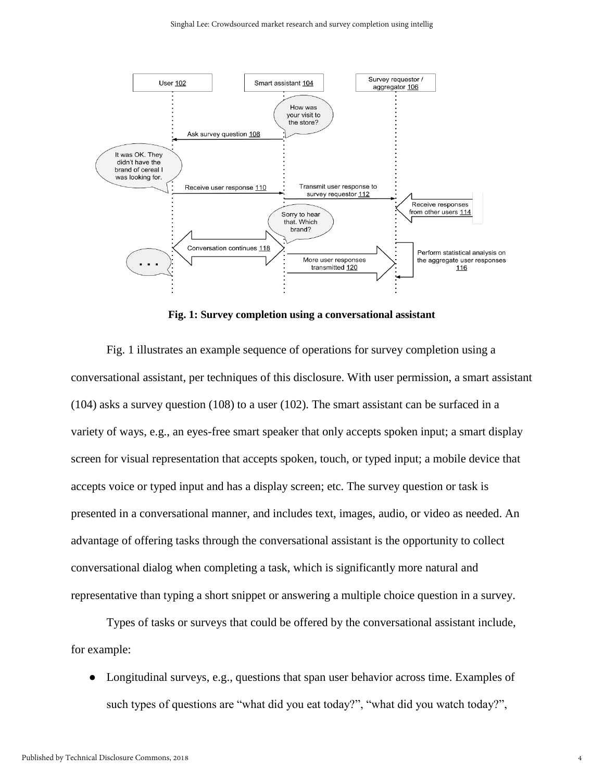

**Fig. 1: Survey completion using a conversational assistant**

Fig. 1 illustrates an example sequence of operations for survey completion using a conversational assistant, per techniques of this disclosure. With user permission, a smart assistant (104) asks a survey question (108) to a user (102). The smart assistant can be surfaced in a variety of ways, e.g., an eyes-free smart speaker that only accepts spoken input; a smart display screen for visual representation that accepts spoken, touch, or typed input; a mobile device that accepts voice or typed input and has a display screen; etc. The survey question or task is presented in a conversational manner, and includes text, images, audio, or video as needed. An advantage of offering tasks through the conversational assistant is the opportunity to collect conversational dialog when completing a task, which is significantly more natural and representative than typing a short snippet or answering a multiple choice question in a survey.

Types of tasks or surveys that could be offered by the conversational assistant include, for example:

Longitudinal surveys, e.g., questions that span user behavior across time. Examples of such types of questions are "what did you eat today?", "what did you watch today?",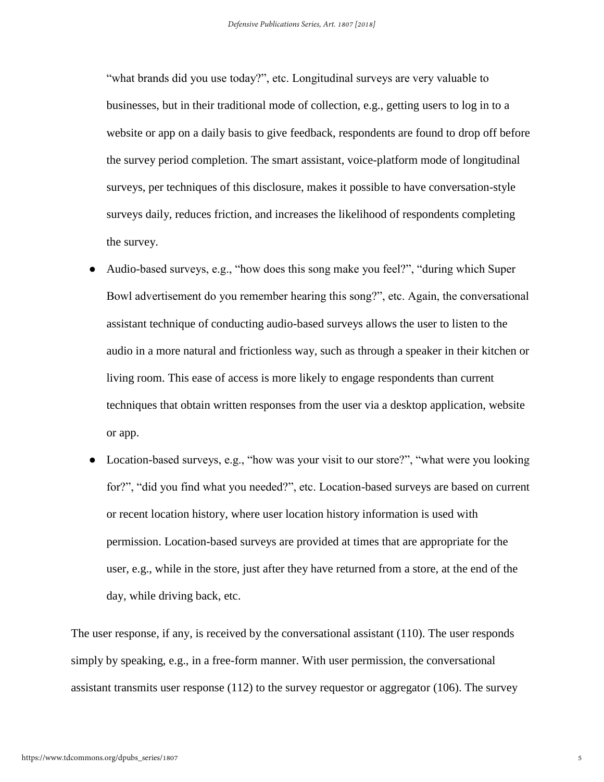"what brands did you use today?", etc. Longitudinal surveys are very valuable to businesses, but in their traditional mode of collection, e.g., getting users to log in to a website or app on a daily basis to give feedback, respondents are found to drop off before the survey period completion. The smart assistant, voice-platform mode of longitudinal surveys, per techniques of this disclosure, makes it possible to have conversation-style surveys daily, reduces friction, and increases the likelihood of respondents completing the survey.

- Audio-based surveys, e.g., "how does this song make you feel?", "during which Super Bowl advertisement do you remember hearing this song?", etc. Again, the conversational assistant technique of conducting audio-based surveys allows the user to listen to the audio in a more natural and frictionless way, such as through a speaker in their kitchen or living room. This ease of access is more likely to engage respondents than current techniques that obtain written responses from the user via a desktop application, website or app.
- Location-based surveys, e.g., "how was your visit to our store?", "what were you looking for?", "did you find what you needed?", etc. Location-based surveys are based on current or recent location history, where user location history information is used with permission. Location-based surveys are provided at times that are appropriate for the user, e.g., while in the store, just after they have returned from a store, at the end of the day, while driving back, etc.

The user response, if any, is received by the conversational assistant (110). The user responds simply by speaking, e.g., in a free-form manner. With user permission, the conversational assistant transmits user response (112) to the survey requestor or aggregator (106). The survey

5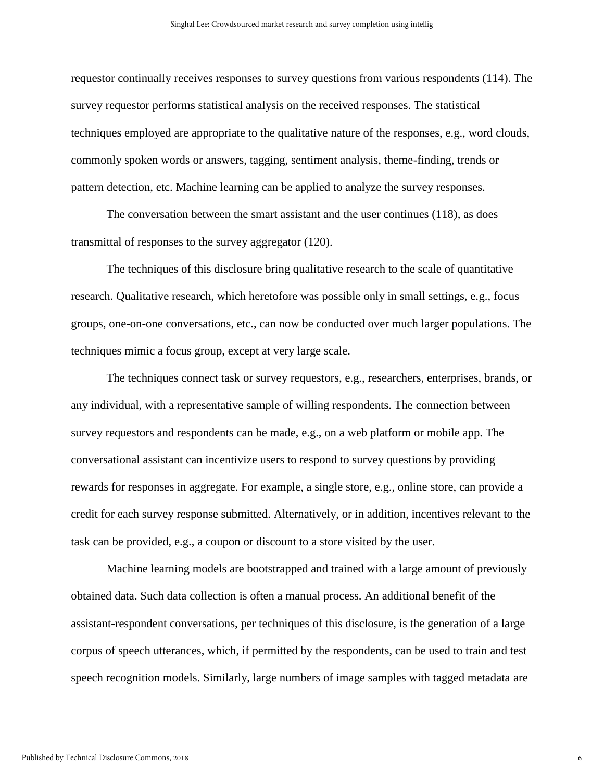requestor continually receives responses to survey questions from various respondents (114). The survey requestor performs statistical analysis on the received responses. The statistical techniques employed are appropriate to the qualitative nature of the responses, e.g., word clouds, commonly spoken words or answers, tagging, sentiment analysis, theme-finding, trends or pattern detection, etc. Machine learning can be applied to analyze the survey responses.

The conversation between the smart assistant and the user continues (118), as does transmittal of responses to the survey aggregator (120).

The techniques of this disclosure bring qualitative research to the scale of quantitative research. Qualitative research, which heretofore was possible only in small settings, e.g., focus groups, one-on-one conversations, etc., can now be conducted over much larger populations. The techniques mimic a focus group, except at very large scale.

The techniques connect task or survey requestors, e.g., researchers, enterprises, brands, or any individual, with a representative sample of willing respondents. The connection between survey requestors and respondents can be made, e.g., on a web platform or mobile app. The conversational assistant can incentivize users to respond to survey questions by providing rewards for responses in aggregate. For example, a single store, e.g., online store, can provide a credit for each survey response submitted. Alternatively, or in addition, incentives relevant to the task can be provided, e.g., a coupon or discount to a store visited by the user.

Machine learning models are bootstrapped and trained with a large amount of previously obtained data. Such data collection is often a manual process. An additional benefit of the assistant-respondent conversations, per techniques of this disclosure, is the generation of a large corpus of speech utterances, which, if permitted by the respondents, can be used to train and test speech recognition models. Similarly, large numbers of image samples with tagged metadata are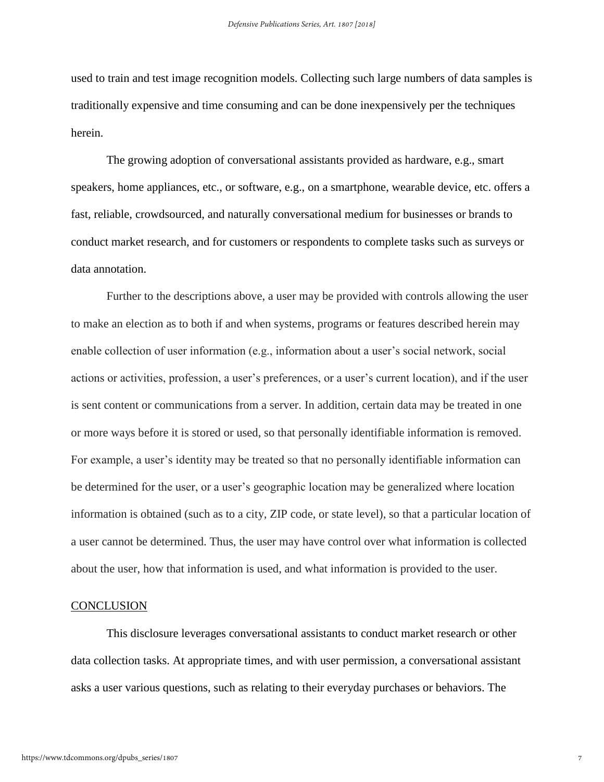used to train and test image recognition models. Collecting such large numbers of data samples is traditionally expensive and time consuming and can be done inexpensively per the techniques herein.

The growing adoption of conversational assistants provided as hardware, e.g., smart speakers, home appliances, etc., or software, e.g., on a smartphone, wearable device, etc. offers a fast, reliable, crowdsourced, and naturally conversational medium for businesses or brands to conduct market research, and for customers or respondents to complete tasks such as surveys or data annotation.

Further to the descriptions above, a user may be provided with controls allowing the user to make an election as to both if and when systems, programs or features described herein may enable collection of user information (e.g., information about a user's social network, social actions or activities, profession, a user's preferences, or a user's current location), and if the user is sent content or communications from a server. In addition, certain data may be treated in one or more ways before it is stored or used, so that personally identifiable information is removed. For example, a user's identity may be treated so that no personally identifiable information can be determined for the user, or a user's geographic location may be generalized where location information is obtained (such as to a city, ZIP code, or state level), so that a particular location of a user cannot be determined. Thus, the user may have control over what information is collected about the user, how that information is used, and what information is provided to the user.

#### **CONCLUSION**

This disclosure leverages conversational assistants to conduct market research or other data collection tasks. At appropriate times, and with user permission, a conversational assistant asks a user various questions, such as relating to their everyday purchases or behaviors. The

7